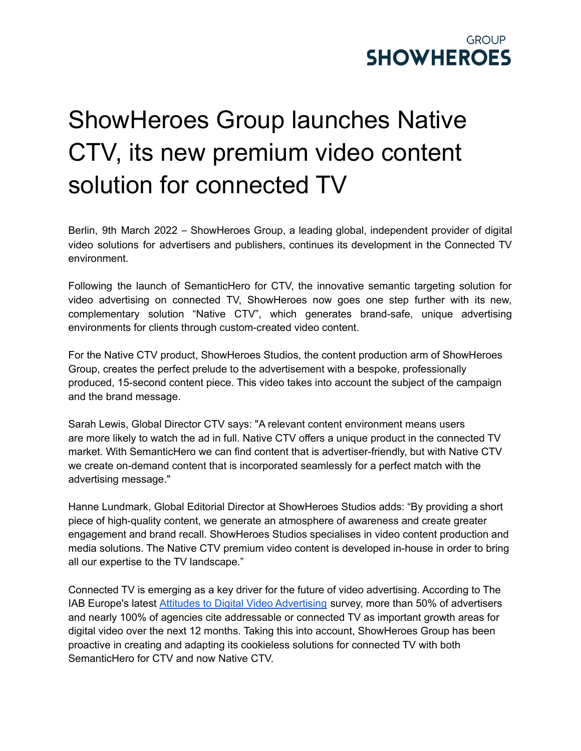

## ShowHeroes Group launches Native CTV, its new premium video content solution for connected TV

Berlin, 9th March 2022 – ShowHeroes Group, a leading global, independent provider of digital video solutions for advertisers and publishers, continues its development in the Connected TV environment.

Following the launch of SemanticHero for CTV, the innovative semantic targeting solution for video advertising on connected TV, ShowHeroes now goes one step further with its new, complementary solution "Native CTV", which generates brand-safe, unique advertising environments for clients through custom-created video content.

For the Native CTV product, ShowHeroes Studios, the content production arm of ShowHeroes Group, creates the perfect prelude to the advertisement with a bespoke, professionally produced, 15-second content piece. This video takes into account the subject of the campaign and the brand message.

Sarah Lewis, Global Director CTV says: "A relevant content environment means users are more likely to watch the ad in full. Native CTV offers a unique product in the connected TV market. With SemanticHero we can find content that is advertiser-friendly, but with Native CTV we create on-demand content that is incorporated seamlessly for a perfect match with the advertising message."

Hanne Lundmark, Global Editorial Director at ShowHeroes Studios adds: "By providing a short piece of high-quality content, we generate an atmosphere of awareness and create greater engagement and brand recall. ShowHeroes Studios specialises in video content production and media solutions. The Native CTV premium video content is developed in-house in order to bring all our expertise to the TV landscape."

Connected TV is emerging as a key driver for the future of video advertising. According to The IAB Europe's latest Attitudes to Digital Video [Advertising](https://iabeurope.eu/wp-content/uploads/2020/06/IAB-Europe-Connected-TV-Guide_June-2020.pdf) survey, more than 50% of advertisers and nearly 100% of agencies cite addressable or connected TV as important growth areas for digital video over the next 12 months. Taking this into account, ShowHeroes Group has been proactive in creating and adapting its cookieless solutions for connected TV with both SemanticHero for CTV and now Native CTV.